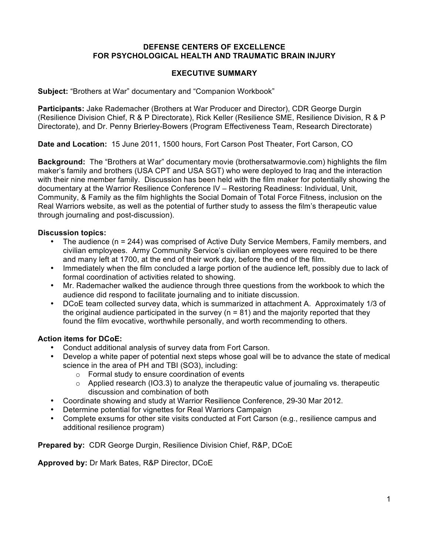#### **DEFENSE CENTERS OF EXCELLENCE FOR PSYCHOLOGICAL HEALTH AND TRAUMATIC BRAIN INJURY**

## **EXECUTIVE SUMMARY**

**Subject:** "Brothers at War" documentary and "Companion Workbook"

**Participants:** Jake Rademacher (Brothers at War Producer and Director), CDR George Durgin (Resilience Division Chief, R & P Directorate), Rick Keller (Resilience SME, Resilience Division, R & P Directorate), and Dr. Penny Brierley-Bowers (Program Effectiveness Team, Research Directorate)

**Date and Location:** 15 June 2011, 1500 hours, Fort Carson Post Theater, Fort Carson, CO

**Background:** The "Brothers at War" documentary movie (brothersatwarmovie.com) highlights the film maker's family and brothers (USA CPT and USA SGT) who were deployed to Iraq and the interaction with their nine member family. Discussion has been held with the film maker for potentially showing the documentary at the Warrior Resilience Conference IV – Restoring Readiness: Individual, Unit, Community, & Family as the film highlights the Social Domain of Total Force Fitness, inclusion on the Real Warriors website, as well as the potential of further study to assess the film's therapeutic value through journaling and post-discussion).

#### **Discussion topics:**

- The audience (n = 244) was comprised of Active Duty Service Members, Family members, and civilian employees. Army Community Service's civilian employees were required to be there and many left at 1700, at the end of their work day, before the end of the film.
- Immediately when the film concluded a large portion of the audience left, possibly due to lack of formal coordination of activities related to showing.
- Mr. Rademacher walked the audience through three questions from the workbook to which the audience did respond to facilitate journaling and to initiate discussion.
- DCoE team collected survey data, which is summarized in attachment A. Approximately 1/3 of the original audience participated in the survey ( $n = 81$ ) and the majority reported that they found the film evocative, worthwhile personally, and worth recommending to others.

## **Action items for DCoE:**

- Conduct additional analysis of survey data from Fort Carson.
- Develop a white paper of potential next steps whose goal will be to advance the state of medical science in the area of PH and TBI (SO3), including:
	- o Formal study to ensure coordination of events
	- o Applied research (IO3.3) to analyze the therapeutic value of journaling vs. therapeutic discussion and combination of both
- Coordinate showing and study at Warrior Resilience Conference, 29-30 Mar 2012.
- Determine potential for vignettes for Real Warriors Campaign
- Complete exsums for other site visits conducted at Fort Carson (e.g., resilience campus and additional resilience program)

**Prepared by:** CDR George Durgin, Resilience Division Chief, R&P, DCoE

**Approved by:** Dr Mark Bates, R&P Director, DCoE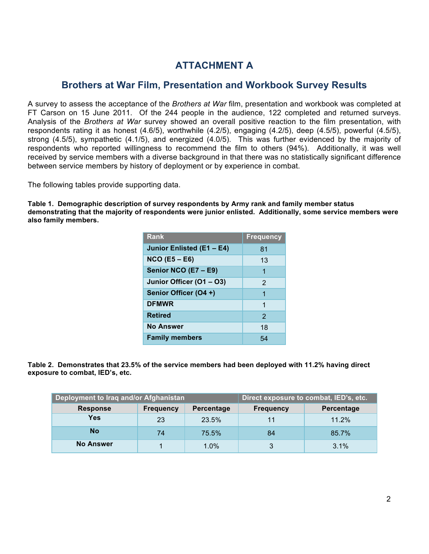# **ATTACHMENT A**

# **Brothers at War Film, Presentation and Workbook Survey Results**

A survey to assess the acceptance of the *Brothers at War* film, presentation and workbook was completed at FT Carson on 15 June 2011. Of the 244 people in the audience, 122 completed and returned surveys. Analysis of the *Brothers at War* survey showed an overall positive reaction to the film presentation, with respondents rating it as honest (4.6/5), worthwhile (4.2/5), engaging (4.2/5), deep (4.5/5), powerful (4.5/5), strong (4.5/5), sympathetic (4.1/5), and energized (4.0/5). This was further evidenced by the majority of respondents who reported willingness to recommend the film to others (94%). Additionally, it was well received by service members with a diverse background in that there was no statistically significant difference between service members by history of deployment or by experience in combat.

The following tables provide supporting data.

**Table 1. Demographic description of survey respondents by Army rank and family member status demonstrating that the majority of respondents were junior enlisted. Additionally, some service members were also family members.**

| <b>Rank</b>               | <b>Frequency</b> |
|---------------------------|------------------|
| Junior Enlisted (E1 - E4) | 81               |
| $NCO$ (E5 – E6)           | 13               |
| Senior NCO (E7 - E9)      | 1                |
| Junior Officer (O1 - O3)  | $\mathcal{P}$    |
| Senior Officer (O4+)      | 1                |
| <b>DFMWR</b>              | 1                |
| <b>Retired</b>            | $\mathcal{P}$    |
| <b>No Answer</b>          | 18               |
| <b>Family members</b>     | 54               |

**Table 2. Demonstrates that 23.5% of the service members had been deployed with 11.2% having direct exposure to combat, IED's, etc.** 

| Deployment to Iraq and/or Afghanistan |           | Direct exposure to combat, IED's, etc. |                  |            |
|---------------------------------------|-----------|----------------------------------------|------------------|------------|
| <b>Response</b>                       | Frequency | Percentage                             | <b>Frequency</b> | Percentage |
| <b>Yes</b>                            | 23        | 23.5%                                  | 11               | 11.2%      |
| No                                    | 74        | 75.5%                                  | 84               | 85.7%      |
| <b>No Answer</b>                      |           | $1.0\%$                                | 3                | 3.1%       |